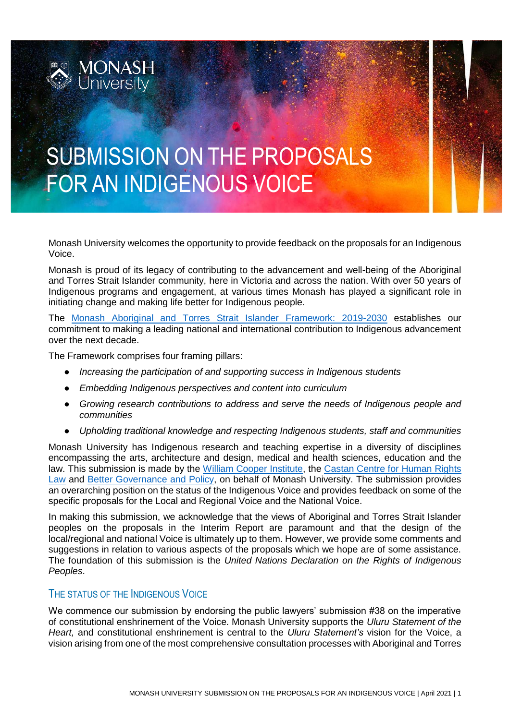

# SUBMISSION ON THE PROPOSALS FOR AN INDIGENOUS VOICE

Monash University welcomes the opportunity to provide feedback on the proposals for an Indigenous Voice.

 $\frac{1}{2}$ 

Monash is proud of its legacy of contributing to the advancement and well-being of the Aboriginal and Torres Strait Islander community, here in Victoria and across the nation. With over 50 years of Indigenous programs and engagement, at various times Monash has played a significant role in initiating change and making life better for Indigenous people.

The [Monash Aboriginal and Torres Strait Islander Framework: 2019-2030](https://www.monash.edu/indigenous-australians/about-us/strategy-governance) establishes our commitment to making a leading national and international contribution to Indigenous advancement over the next decade.

The Framework comprises four framing pillars:

- *Increasing the participation of and supporting success in Indigenous students*
- *Embedding Indigenous perspectives and content into curriculum*
- *Growing research contributions to address and serve the needs of Indigenous people and communities*
- *Upholding traditional knowledge and respecting Indigenous students, staff and communities*

Monash University has Indigenous research and teaching expertise in a diversity of disciplines encompassing the arts, architecture and design, medical and health sciences, education and the law. This submission is made by the [William Cooper Institute,](https://www.monash.edu/indigenous-australians/home) the Castan Centre for Human Rights [Law](https://www.monash.edu/law/research/centres/castancentre) and [Better Governance and Policy,](https://www.monash.edu/research/better-governance-and-policy) on behalf of Monash University. The submission provides an overarching position on the status of the Indigenous Voice and provides feedback on some of the specific proposals for the Local and Regional Voice and the National Voice.

In making this submission, we acknowledge that the views of Aboriginal and Torres Strait Islander peoples on the proposals in the Interim Report are paramount and that the design of the local/regional and national Voice is ultimately up to them. However, we provide some comments and suggestions in relation to various aspects of the proposals which we hope are of some assistance. The foundation of this submission is the *United Nations Declaration on the Rights of Indigenous Peoples*.

# THE STATUS OF THE INDIGENOUS VOICE

We commence our submission by endorsing the public lawyers' submission #38 on the imperative of constitutional enshrinement of the Voice. Monash University supports the *Uluru Statement of the Heart,* and constitutional enshrinement is central to the *Uluru Statement's* vision for the Voice, a vision arising from one of the most comprehensive consultation processes with Aboriginal and Torres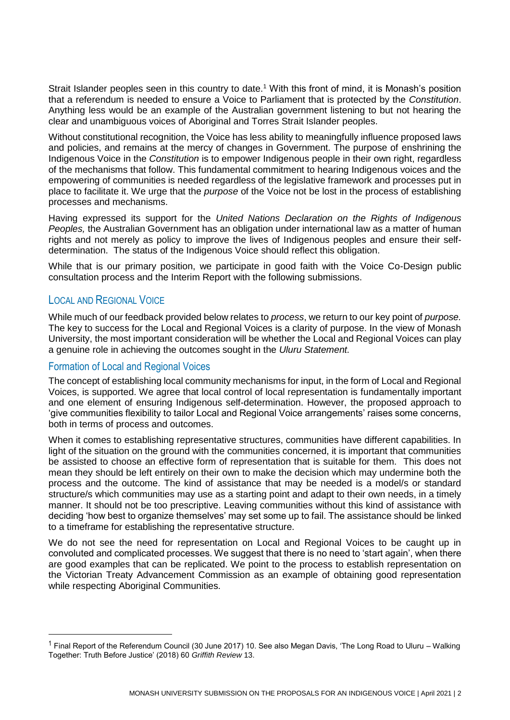Strait Islander peoples seen in this country to date.<sup>1</sup> With this front of mind, it is Monash's position that a referendum is needed to ensure a Voice to Parliament that is protected by the *Constitution*. Anything less would be an example of the Australian government listening to but not hearing the clear and unambiguous voices of Aboriginal and Torres Strait Islander peoples.

Without constitutional recognition, the Voice has less ability to meaningfully influence proposed laws and policies, and remains at the mercy of changes in Government. The purpose of enshrining the Indigenous Voice in the *Constitution* is to empower Indigenous people in their own right, regardless of the mechanisms that follow. This fundamental commitment to hearing Indigenous voices and the empowering of communities is needed regardless of the legislative framework and processes put in place to facilitate it. We urge that the *purpose* of the Voice not be lost in the process of establishing processes and mechanisms.

Having expressed its support for the *United Nations Declaration on the Rights of Indigenous Peoples,* the Australian Government has an obligation under international law as a matter of human rights and not merely as policy to improve the lives of Indigenous peoples and ensure their selfdetermination. The status of the Indigenous Voice should reflect this obligation.

While that is our primary position, we participate in good faith with the Voice Co-Design public consultation process and the Interim Report with the following submissions.

# LOCAL AND REGIONAL VOICE

1

While much of our feedback provided below relates to *process*, we return to our key point of *purpose.*  The key to success for the Local and Regional Voices is a clarity of purpose. In the view of Monash University, the most important consideration will be whether the Local and Regional Voices can play a genuine role in achieving the outcomes sought in the *Uluru Statement.*

# Formation of Local and Regional Voices

The concept of establishing local community mechanisms for input, in the form of Local and Regional Voices, is supported. We agree that local control of local representation is fundamentally important and one element of ensuring Indigenous self-determination. However, the proposed approach to 'give communities flexibility to tailor Local and Regional Voice arrangements' raises some concerns, both in terms of process and outcomes.

When it comes to establishing representative structures, communities have different capabilities. In light of the situation on the ground with the communities concerned, it is important that communities be assisted to choose an effective form of representation that is suitable for them. This does not mean they should be left entirely on their own to make the decision which may undermine both the process and the outcome. The kind of assistance that may be needed is a model/s or standard structure/s which communities may use as a starting point and adapt to their own needs, in a timely manner. It should not be too prescriptive. Leaving communities without this kind of assistance with deciding 'how best to organize themselves' may set some up to fail. The assistance should be linked to a timeframe for establishing the representative structure.

We do not see the need for representation on Local and Regional Voices to be caught up in convoluted and complicated processes. We suggest that there is no need to 'start again', when there are good examples that can be replicated. We point to the process to establish representation on the Victorian Treaty Advancement Commission as an example of obtaining good representation while respecting Aboriginal Communities.

<sup>&</sup>lt;sup>1</sup> Final Report of the Referendum Council (30 June 2017) 10. See also Megan Davis, 'The Long Road to Uluru – Walking Together: Truth Before Justice' (2018) 60 *Griffith Review* 13.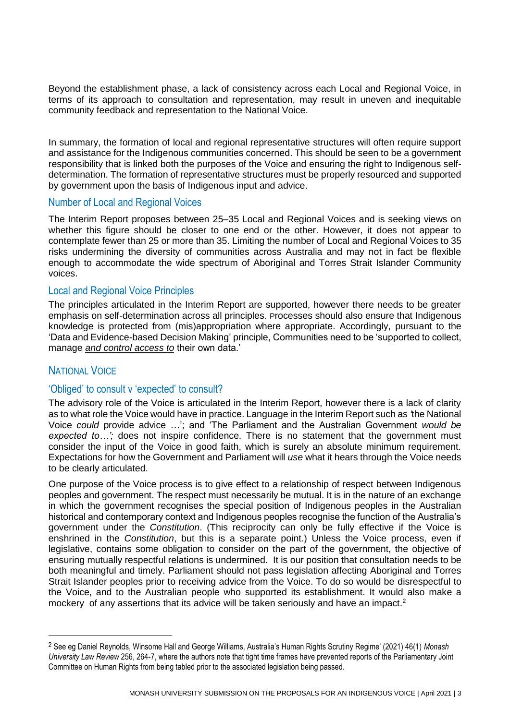Beyond the establishment phase, a lack of consistency across each Local and Regional Voice, in terms of its approach to consultation and representation, may result in uneven and inequitable community feedback and representation to the National Voice.

In summary, the formation of local and regional representative structures will often require support and assistance for the Indigenous communities concerned. This should be seen to be a government responsibility that is linked both the purposes of the Voice and ensuring the right to Indigenous selfdetermination. The formation of representative structures must be properly resourced and supported by government upon the basis of Indigenous input and advice.

#### Number of Local and Regional Voices

The Interim Report proposes between 25–35 Local and Regional Voices and is seeking views on whether this figure should be closer to one end or the other. However, it does not appear to contemplate fewer than 25 or more than 35. Limiting the number of Local and Regional Voices to 35 risks undermining the diversity of communities across Australia and may not in fact be flexible enough to accommodate the wide spectrum of Aboriginal and Torres Strait Islander Community voices.

#### Local and Regional Voice Principles

The principles articulated in the Interim Report are supported, however there needs to be greater emphasis on self-determination across all principles. Processes should also ensure that Indigenous knowledge is protected from (mis)appropriation where appropriate. Accordingly, pursuant to the 'Data and Evidence-based Decision Making' principle, Communities need to be 'supported to collect, manage *and control access to* their own data.'

# NATIONAL VOICE

1

#### 'Obliged' to consult v 'expected' to consult?

The advisory role of the Voice is articulated in the Interim Report, however there is a lack of clarity as to what role the Voice would have in practice. Language in the Interim Report such as *'*the National Voice *could* provide advice …'; and 'The Parliament and the Australian Government *would be expected to…';* does not inspire confidence. There is no statement that the government must consider the input of the Voice in good faith, which is surely an absolute minimum requirement. Expectations for how the Government and Parliament will *use* what it hears through the Voice needs to be clearly articulated.

One purpose of the Voice process is to give effect to a relationship of respect between Indigenous peoples and government. The respect must necessarily be mutual. It is in the nature of an exchange in which the government recognises the special position of Indigenous peoples in the Australian historical and contemporary context and Indigenous peoples recognise the function of the Australia's government under the *Constitution*. (This reciprocity can only be fully effective if the Voice is enshrined in the *Constitution*, but this is a separate point.) Unless the Voice process, even if legislative, contains some obligation to consider on the part of the government, the objective of ensuring mutually respectful relations is undermined. It is our position that consultation needs to be both meaningful and timely. Parliament should not pass legislation affecting Aboriginal and Torres Strait Islander peoples prior to receiving advice from the Voice. To do so would be disrespectful to the Voice, and to the Australian people who supported its establishment. It would also make a mockery of any assertions that its advice will be taken seriously and have an impact.<sup>2</sup>

<sup>2</sup> See eg Daniel Reynolds, Winsome Hall and George Williams, Australia's Human Rights Scrutiny Regime' (2021) 46(1) *Monash University Law Review* 256, 264-7, where the authors note that tight time frames have prevented reports of the Parliamentary Joint Committee on Human Rights from being tabled prior to the associated legislation being passed.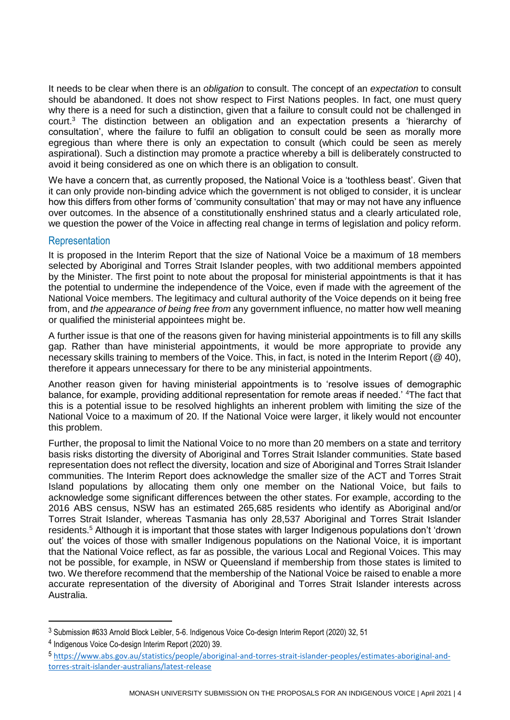It needs to be clear when there is an *obligation* to consult. The concept of an *expectation* to consult should be abandoned. It does not show respect to First Nations peoples. In fact, one must query why there is a need for such a distinction, given that a failure to consult could not be challenged in court.<sup>3</sup> The distinction between an obligation and an expectation presents a 'hierarchy of consultation', where the failure to fulfil an obligation to consult could be seen as morally more egregious than where there is only an expectation to consult (which could be seen as merely aspirational). Such a distinction may promote a practice whereby a bill is deliberately constructed to avoid it being considered as one on which there is an obligation to consult.

We have a concern that, as currently proposed, the National Voice is a 'toothless beast'. Given that it can only provide non-binding advice which the government is not obliged to consider, it is unclear how this differs from other forms of 'community consultation' that may or may not have any influence over outcomes. In the absence of a constitutionally enshrined status and a clearly articulated role, we question the power of the Voice in affecting real change in terms of legislation and policy reform.

#### **Representation**

It is proposed in the Interim Report that the size of National Voice be a maximum of 18 members selected by Aboriginal and Torres Strait Islander peoples, with two additional members appointed by the Minister. The first point to note about the proposal for ministerial appointments is that it has the potential to undermine the independence of the Voice, even if made with the agreement of the National Voice members. The legitimacy and cultural authority of the Voice depends on it being free from, and *the appearance of being free from* any government influence, no matter how well meaning or qualified the ministerial appointees might be.

A further issue is that one of the reasons given for having ministerial appointments is to fill any skills gap. Rather than have ministerial appointments, it would be more appropriate to provide any necessary skills training to members of the Voice. This, in fact, is noted in the Interim Report (@ 40), therefore it appears unnecessary for there to be any ministerial appointments.

Another reason given for having ministerial appointments is to 'resolve issues of demographic balance, for example, providing additional representation for remote areas if needed.' <sup>4</sup>The fact that this is a potential issue to be resolved highlights an inherent problem with limiting the size of the National Voice to a maximum of 20. If the National Voice were larger, it likely would not encounter this problem.

Further, the proposal to limit the National Voice to no more than 20 members on a state and territory basis risks distorting the diversity of Aboriginal and Torres Strait Islander communities. State based representation does not reflect the diversity, location and size of Aboriginal and Torres Strait Islander communities. The Interim Report does acknowledge the smaller size of the ACT and Torres Strait Island populations by allocating them only one member on the National Voice, but fails to acknowledge some significant differences between the other states. For example, according to the 2016 ABS census, NSW has an estimated 265,685 residents who identify as Aboriginal and/or Torres Strait Islander, whereas Tasmania has only 28,537 Aboriginal and Torres Strait Islander residents.<sup>5</sup> Although it is important that those states with larger Indigenous populations don't 'drown out' the voices of those with smaller Indigenous populations on the National Voice, it is important that the National Voice reflect, as far as possible, the various Local and Regional Voices. This may not be possible, for example, in NSW or Queensland if membership from those states is limited to two. We therefore recommend that the membership of the National Voice be raised to enable a more accurate representation of the diversity of Aboriginal and Torres Strait Islander interests across Australia.

<u>.</u>

<sup>3</sup> Submission #633 Arnold Block Leibler, 5-6. Indigenous Voice Co-design Interim Report (2020) 32, 51

<sup>4</sup> Indigenous Voice Co-design Interim Report (2020) 39.

<sup>5</sup> [https://www.abs.gov.au/statistics/people/aboriginal-and-torres-strait-islander-peoples/estimates-aboriginal-and](https://www.abs.gov.au/statistics/people/aboriginal-and-torres-strait-islander-peoples/estimates-aboriginal-and-torres-strait-islander-australians/latest-release)[torres-strait-islander-australians/latest-release](https://www.abs.gov.au/statistics/people/aboriginal-and-torres-strait-islander-peoples/estimates-aboriginal-and-torres-strait-islander-australians/latest-release)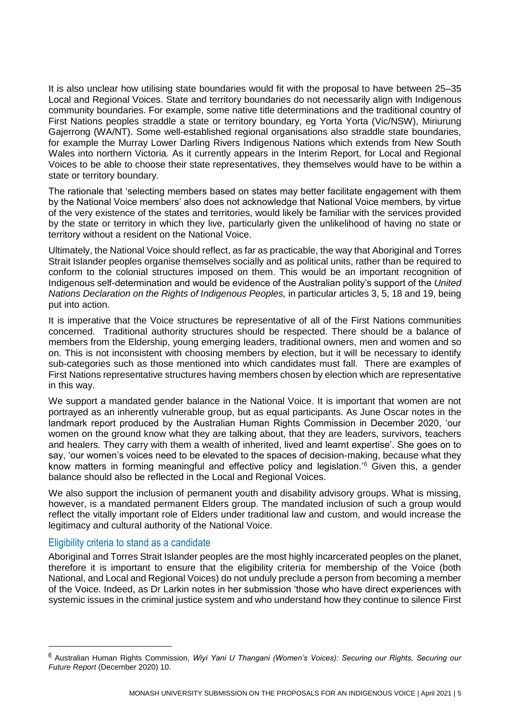It is also unclear how utilising state boundaries would fit with the proposal to have between 25–35 Local and Regional Voices. State and territory boundaries do not necessarily align with Indigenous community boundaries. For example, some native title determinations and the traditional country of First Nations peoples straddle a state or territory boundary, eg Yorta Yorta (Vic/NSW), Miriurung Gajerrong (WA/NT). Some well-established regional organisations also straddle state boundaries, for example the Murray Lower Darling Rivers Indigenous Nations which extends from New South Wales into northern Victoria. As it currently appears in the Interim Report, for Local and Regional Voices to be able to choose their state representatives, they themselves would have to be within a state or territory boundary.

The rationale that 'selecting members based on states may better facilitate engagement with them by the National Voice members' also does not acknowledge that National Voice members, by virtue of the very existence of the states and territories, would likely be familiar with the services provided by the state or territory in which they live, particularly given the unlikelihood of having no state or territory without a resident on the National Voice.

Ultimately, the National Voice should reflect, as far as practicable, the way that Aboriginal and Torres Strait Islander peoples organise themselves socially and as political units, rather than be required to conform to the colonial structures imposed on them. This would be an important recognition of Indigenous self-determination and would be evidence of the Australian polity's support of the *United Nations Declaration on the Rights of Indigenous Peoples,* in particular articles 3, 5, 18 and 19, being put into action.

It is imperative that the Voice structures be representative of all of the First Nations communities concerned. Traditional authority structures should be respected. There should be a balance of members from the Eldership, young emerging leaders, traditional owners, men and women and so on. This is not inconsistent with choosing members by election, but it will be necessary to identify sub-categories such as those mentioned into which candidates must fall. There are examples of First Nations representative structures having members chosen by election which are representative in this way.

We support a mandated gender balance in the National Voice. It is important that women are not portrayed as an inherently vulnerable group, but as equal participants. As June Oscar notes in the landmark report produced by the Australian Human Rights Commission in December 2020, 'our women on the ground know what they are talking about, that they are leaders, survivors, teachers and healers. They carry with them a wealth of inherited, lived and learnt expertise'. She goes on to say, 'our women's voices need to be elevated to the spaces of decision-making, because what they know matters in forming meaningful and effective policy and legislation.'<sup>6</sup> Given this, a gender balance should also be reflected in the Local and Regional Voices.

We also support the inclusion of permanent youth and disability advisory groups. What is missing, however, is a mandated permanent Elders group. The mandated inclusion of such a group would reflect the vitally important role of Elders under traditional law and custom, and would increase the legitimacy and cultural authority of the National Voice.

# Eligibility criteria to stand as a candidate

1

Aboriginal and Torres Strait Islander peoples are the most highly incarcerated peoples on the planet, therefore it is important to ensure that the eligibility criteria for membership of the Voice (both National, and Local and Regional Voices) do not unduly preclude a person from becoming a member of the Voice. Indeed, as Dr Larkin notes in her submission 'those who have direct experiences with systemic issues in the criminal justice system and who understand how they continue to silence First

<sup>6</sup> Australian Human Rights Commission, *Wiyi Yani U Thangani (Women's Voices): Securing our Rights, Securing our Future Report* (December 2020) 10.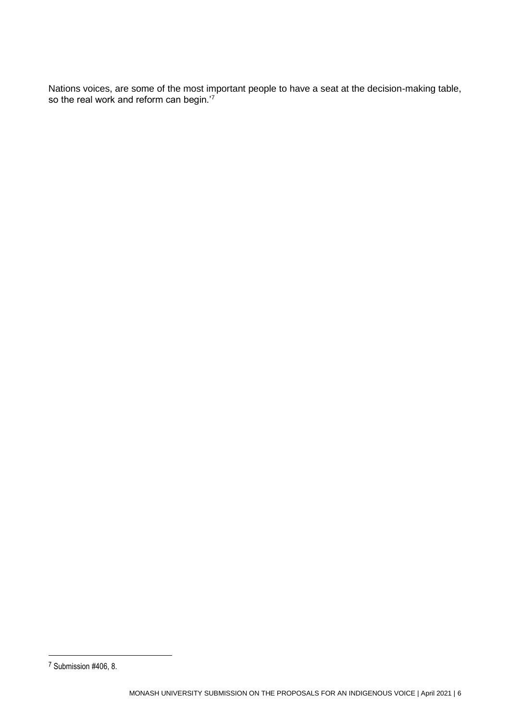Nations voices, are some of the most important people to have a seat at the decision-making table, so the real work and reform can begin.'7

<sup>7</sup> Submission #406, 8.